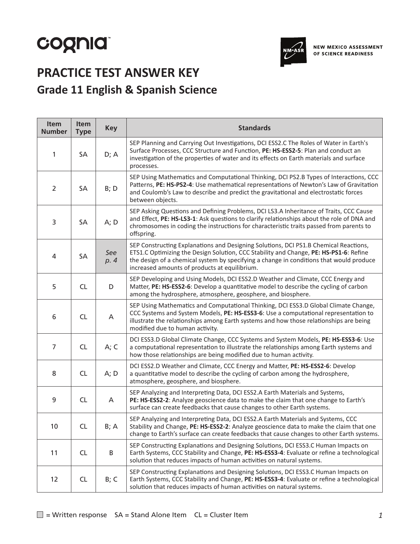# cognia



**NEW MEXICO ASSESSMENT** OF SCIENCE READINESS

# **PRACTICE TEST ANSWER KEY Grade 11 English & Spanish Science**

| Item<br><b>Number</b> | Item<br><b>Type</b> | <b>Key</b>  | <b>Standards</b>                                                                                                                                                                                                                                                                                                          |
|-----------------------|---------------------|-------------|---------------------------------------------------------------------------------------------------------------------------------------------------------------------------------------------------------------------------------------------------------------------------------------------------------------------------|
| 1                     | SA                  | D; A        | SEP Planning and Carrying Out Investigations, DCI ESS2.C The Roles of Water in Earth's<br>Surface Processes, CCC Structure and Function, PE: HS-ESS2-5: Plan and conduct an<br>investigation of the properties of water and its effects on Earth materials and surface<br>processes.                                      |
| $\overline{2}$        | SA                  | B; D        | SEP Using Mathematics and Computational Thinking, DCI PS2.B Types of Interactions, CCC<br>Patterns, PE: HS-PS2-4: Use mathematical representations of Newton's Law of Gravitation<br>and Coulomb's Law to describe and predict the gravitational and electrostatic forces<br>between objects.                             |
| 3                     | <b>SA</b>           | A; D        | SEP Asking Questions and Defining Problems, DCI LS3.A Inheritance of Traits, CCC Cause<br>and Effect, PE: HS-LS3-1: Ask questions to clarify relationships about the role of DNA and<br>chromosomes in coding the instructions for characteristic traits passed from parents to<br>offspring.                             |
| 4                     | SA                  | See<br>p. 4 | SEP Constructing Explanations and Designing Solutions, DCI PS1.B Chemical Reactions,<br>ETS1.C Optimizing the Design Solution, CCC Stability and Change, PE: HS-PS1-6: Refine<br>the design of a chemical system by specifying a change in conditions that would produce<br>increased amounts of products at equilibrium. |
| 5                     | CL                  | D           | SEP Developing and Using Models, DCI ESS2.D Weather and Climate, CCC Energy and<br>Matter, PE: HS-ESS2-6: Develop a quantitative model to describe the cycling of carbon<br>among the hydrosphere, atmosphere, geosphere, and biosphere.                                                                                  |
| 6                     | CL                  | A           | SEP Using Mathematics and Computational Thinking, DCI ESS3.D Global Climate Change,<br>CCC Systems and System Models, PE: HS-ESS3-6: Use a computational representation to<br>illustrate the relationships among Earth systems and how those relationships are being<br>modified due to human activity.                   |
| $\overline{7}$        | <b>CL</b>           | A; C        | DCI ESS3.D Global Climate Change, CCC Systems and System Models, PE: HS-ESS3-6: Use<br>a computational representation to illustrate the relationships among Earth systems and<br>how those relationships are being modified due to human activity.                                                                        |
| 8                     | CL                  | A; D        | DCI ESS2.D Weather and Climate, CCC Energy and Matter, PE: HS-ESS2-6: Develop<br>a quantitative model to describe the cycling of carbon among the hydrosphere,<br>atmosphere, geosphere, and biosphere.                                                                                                                   |
| 9                     | CL                  | A           | SEP Analyzing and Interpreting Data, DCI ESS2.A Earth Materials and Systems,<br>PE: HS-ESS2-2: Analyze geoscience data to make the claim that one change to Earth's<br>surface can create feedbacks that cause changes to other Earth systems.                                                                            |
| 10 <sup>°</sup>       | <b>CL</b>           | B; A        | SEP Analyzing and Interpreting Data, DCI ESS2.A Earth Materials and Systems, CCC<br>Stability and Change, PE: HS-ESS2-2: Analyze geoscience data to make the claim that one<br>change to Earth's surface can create feedbacks that cause changes to other Earth systems.                                                  |
| 11                    | <b>CL</b>           | B           | SEP Constructing Explanations and Designing Solutions, DCI ESS3.C Human Impacts on<br>Earth Systems, CCC Stability and Change, PE: HS-ESS3-4: Evaluate or refine a technological<br>solution that reduces impacts of human activities on natural systems.                                                                 |
| 12                    | <b>CL</b>           | B; C        | SEP Constructing Explanations and Designing Solutions, DCI ESS3.C Human Impacts on<br>Earth Systems, CCC Stability and Change, PE: HS-ESS3-4: Evaluate or refine a technological<br>solution that reduces impacts of human activities on natural systems.                                                                 |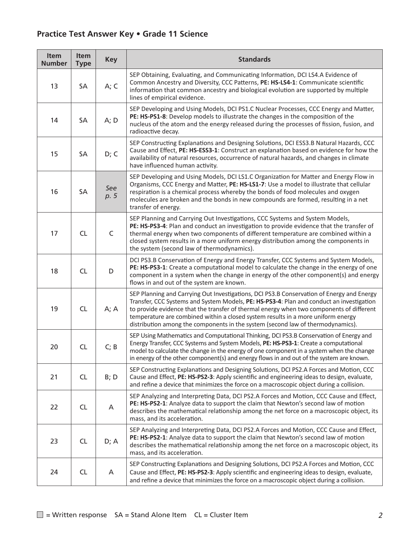| Item<br><b>Number</b> | Item<br><b>Type</b> | <b>Key</b>  | <b>Standards</b>                                                                                                                                                                                                                                                                                                                                                                                                                                         |
|-----------------------|---------------------|-------------|----------------------------------------------------------------------------------------------------------------------------------------------------------------------------------------------------------------------------------------------------------------------------------------------------------------------------------------------------------------------------------------------------------------------------------------------------------|
| 13                    | SA                  | A; C        | SEP Obtaining, Evaluating, and Communicating Information, DCI LS4.A Evidence of<br>Common Ancestry and Diversity, CCC Patterns, PE: HS-LS4-1: Communicate scientific<br>information that common ancestry and biological evolution are supported by multiple<br>lines of empirical evidence.                                                                                                                                                              |
| 14                    | SA                  | A; D        | SEP Developing and Using Models, DCI PS1.C Nuclear Processes, CCC Energy and Matter,<br>PE: HS-PS1-8: Develop models to illustrate the changes in the composition of the<br>nucleus of the atom and the energy released during the processes of fission, fusion, and<br>radioactive decay.                                                                                                                                                               |
| 15                    | SA                  | D; C        | SEP Constructing Explanations and Designing Solutions, DCI ESS3.B Natural Hazards, CCC<br>Cause and Effect, PE: HS-ESS3-1: Construct an explanation based on evidence for how the<br>availability of natural resources, occurrence of natural hazards, and changes in climate<br>have influenced human activity.                                                                                                                                         |
| 16                    | SA                  | See<br>p. 5 | SEP Developing and Using Models, DCI LS1.C Organization for Matter and Energy Flow in<br>Organisms, CCC Energy and Matter, PE: HS-LS1-7: Use a model to illustrate that cellular<br>respiration is a chemical process whereby the bonds of food molecules and oxygen<br>molecules are broken and the bonds in new compounds are formed, resulting in a net<br>transfer of energy.                                                                        |
| 17                    | CL                  | C           | SEP Planning and Carrying Out Investigations, CCC Systems and System Models,<br>PE: HS-PS3-4: Plan and conduct an investigation to provide evidence that the transfer of<br>thermal energy when two components of different temperature are combined within a<br>closed system results in a more uniform energy distribution among the components in<br>the system (second law of thermodynamics).                                                       |
| 18                    | <b>CL</b>           | D           | DCI PS3.B Conservation of Energy and Energy Transfer, CCC Systems and System Models,<br>PE: HS-PS3-1: Create a computational model to calculate the change in the energy of one<br>component in a system when the change in energy of the other component(s) and energy<br>flows in and out of the system are known.                                                                                                                                     |
| 19                    | <b>CL</b>           | A; A        | SEP Planning and Carrying Out Investigations, DCI PS3.B Conservation of Energy and Energy<br>Transfer, CCC Systems and System Models, PE: HS-PS3-4: Plan and conduct an investigation<br>to provide evidence that the transfer of thermal energy when two components of different<br>temperature are combined within a closed system results in a more uniform energy<br>distribution among the components in the system (second law of thermodynamics). |
| 20                    | <b>CL</b>           | C; B        | SEP Using Mathematics and Computational Thinking, DCI PS3.B Conservation of Energy and<br>Energy Transfer, CCC Systems and System Models, PE: HS-PS3-1: Create a computational<br>model to calculate the change in the energy of one component in a system when the change<br>in energy of the other component(s) and energy flows in and out of the system are known.                                                                                   |
| 21                    | <b>CL</b>           | B; D        | SEP Constructing Explanations and Designing Solutions, DCI PS2.A Forces and Motion, CCC<br>Cause and Effect, PE: HS-PS2-3: Apply scientific and engineering ideas to design, evaluate,<br>and refine a device that minimizes the force on a macroscopic object during a collision.                                                                                                                                                                       |
| 22                    | <b>CL</b>           | A           | SEP Analyzing and Interpreting Data, DCI PS2.A Forces and Motion, CCC Cause and Effect,<br>PE: HS-PS2-1: Analyze data to support the claim that Newton's second law of motion<br>describes the mathematical relationship among the net force on a macroscopic object, its<br>mass, and its acceleration.                                                                                                                                                 |
| 23                    | <b>CL</b>           | D; A        | SEP Analyzing and Interpreting Data, DCI PS2.A Forces and Motion, CCC Cause and Effect,<br>PE: HS-PS2-1: Analyze data to support the claim that Newton's second law of motion<br>describes the mathematical relationship among the net force on a macroscopic object, its<br>mass, and its acceleration.                                                                                                                                                 |
| 24                    | <b>CL</b>           | A           | SEP Constructing Explanations and Designing Solutions, DCI PS2.A Forces and Motion, CCC<br>Cause and Effect, PE: HS-PS2-3: Apply scientific and engineering ideas to design, evaluate,<br>and refine a device that minimizes the force on a macroscopic object during a collision.                                                                                                                                                                       |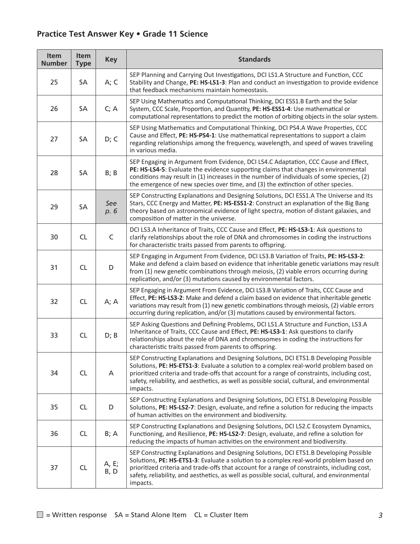| Item<br><b>Number</b> | Item<br><b>Type</b> | <b>Key</b>    | <b>Standards</b>                                                                                                                                                                                                                                                                                                                                                                            |
|-----------------------|---------------------|---------------|---------------------------------------------------------------------------------------------------------------------------------------------------------------------------------------------------------------------------------------------------------------------------------------------------------------------------------------------------------------------------------------------|
| 25                    | SA                  | A; C          | SEP Planning and Carrying Out Investigations, DCI LS1.A Structure and Function, CCC<br>Stability and Change, PE: HS-LS1-3: Plan and conduct an investigation to provide evidence<br>that feedback mechanisms maintain homeostasis.                                                                                                                                                          |
| 26                    | SA                  | C; A          | SEP Using Mathematics and Computational Thinking, DCI ESS1.B Earth and the Solar<br>System, CCC Scale, Proportion, and Quantity, PE: HS-ESS1-4: Use mathematical or<br>computational representations to predict the motion of orbiting objects in the solar system.                                                                                                                         |
| 27                    | SA                  | D; C          | SEP Using Mathematics and Computational Thinking, DCI PS4.A Wave Properties, CCC<br>Cause and Effect, PE: HS-PS4-1: Use mathematical representations to support a claim<br>regarding relationships among the frequency, wavelength, and speed of waves traveling<br>in various media.                                                                                                       |
| 28                    | SA                  | B; B          | SEP Engaging in Argument from Evidence, DCI LS4.C Adaptation, CCC Cause and Effect,<br>PE: HS-LS4-5: Evaluate the evidence supporting claims that changes in environmental<br>conditions may result in (1) increases in the number of individuals of some species, (2)<br>the emergence of new species over time, and (3) the extinction of other species.                                  |
| 29                    | SA                  | See<br>p. 6   | SEP Constructing Explanations and Designing Solutions, DCI ESS1.A The Universe and Its<br>Stars, CCC Energy and Matter, PE: HS-ESS1-2: Construct an explanation of the Big Bang<br>theory based on astronomical evidence of light spectra, motion of distant galaxies, and<br>composition of matter in the universe.                                                                        |
| 30                    | <b>CL</b>           | C             | DCI LS3.A Inheritance of Traits, CCC Cause and Effect, PE: HS-LS3-1: Ask questions to<br>clarify relationships about the role of DNA and chromosomes in coding the instructions<br>for characteristic traits passed from parents to offspring.                                                                                                                                              |
| 31                    | <b>CL</b>           | D             | SEP Engaging in Argument From Evidence, DCI LS3.B Variation of Traits, PE: HS-LS3-2:<br>Make and defend a claim based on evidence that inheritable genetic variations may result<br>from (1) new genetic combinations through meiosis, (2) viable errors occurring during<br>replication, and/or (3) mutations caused by environmental factors.                                             |
| 32                    | <b>CL</b>           | A; A          | SEP Engaging in Argument From Evidence, DCI LS3.B Variation of Traits, CCC Cause and<br>Effect, PE: HS-LS3-2: Make and defend a claim based on evidence that inheritable genetic<br>variations may result from (1) new genetic combinations through meiosis, (2) viable errors<br>occurring during replication, and/or (3) mutations caused by environmental factors.                       |
| 33                    | <b>CL</b>           | D; B          | SEP Asking Questions and Defining Problems, DCI LS1.A Structure and Function, LS3.A<br>Inheritance of Traits, CCC Cause and Effect, PE: HS-LS3-1: Ask questions to clarify<br>relationships about the role of DNA and chromosomes in coding the instructions for<br>characteristic traits passed from parents to offspring.                                                                 |
| 34                    | CL                  | A             | SEP Constructing Explanations and Designing Solutions, DCI ETS1.B Developing Possible<br>Solutions, PE: HS-ETS1-3: Evaluate a solution to a complex real-world problem based on<br>prioritized criteria and trade-offs that account for a range of constraints, including cost,<br>safety, reliability, and aesthetics, as well as possible social, cultural, and environmental<br>impacts. |
| 35                    | CL                  | D             | SEP Constructing Explanations and Designing Solutions, DCI ETS1.B Developing Possible<br>Solutions, PE: HS-LS2-7: Design, evaluate, and refine a solution for reducing the impacts<br>of human activities on the environment and biodiversity.                                                                                                                                              |
| 36                    | <b>CL</b>           | B; A          | SEP Constructing Explanations and Designing Solutions, DCI LS2.C Ecosystem Dynamics,<br>Functioning, and Resilience, PE: HS-LS2-7: Design, evaluate, and refine a solution for<br>reducing the impacts of human activities on the environment and biodiversity.                                                                                                                             |
| 37                    | <b>CL</b>           | A, E;<br>B, D | SEP Constructing Explanations and Designing Solutions, DCI ETS1.B Developing Possible<br>Solutions, PE: HS-ETS1-3: Evaluate a solution to a complex real-world problem based on<br>prioritized criteria and trade-offs that account for a range of constraints, including cost,<br>safety, reliability, and aesthetics, as well as possible social, cultural, and environmental<br>impacts. |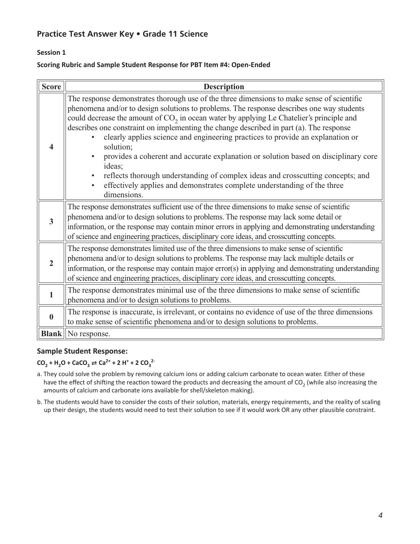# **Session 1**

#### **Scoring Rubric and Sample Student Response for PBT Item #4: Open-Ended**

| <b>Score</b>     | <b>Description</b>                                                                                                                                                                                                                                                                                                                                                                                                                                                                                                                                                                                                                                                                                                                                                          |  |  |  |  |
|------------------|-----------------------------------------------------------------------------------------------------------------------------------------------------------------------------------------------------------------------------------------------------------------------------------------------------------------------------------------------------------------------------------------------------------------------------------------------------------------------------------------------------------------------------------------------------------------------------------------------------------------------------------------------------------------------------------------------------------------------------------------------------------------------------|--|--|--|--|
| $\boldsymbol{4}$ | The response demonstrates thorough use of the three dimensions to make sense of scientific<br>phenomena and/or to design solutions to problems. The response describes one way students<br>could decrease the amount of $CO2$ in ocean water by applying Le Chatelier's principle and<br>describes one constraint on implementing the change described in part (a). The response<br>clearly applies science and engineering practices to provide an explanation or<br>solution;<br>provides a coherent and accurate explanation or solution based on disciplinary core<br>ideas;<br>reflects thorough understanding of complex ideas and crosscutting concepts; and<br>effectively applies and demonstrates complete understanding of the three<br>$\bullet$<br>dimensions. |  |  |  |  |
| $\overline{3}$   | The response demonstrates sufficient use of the three dimensions to make sense of scientific<br>phenomena and/or to design solutions to problems. The response may lack some detail or<br>information, or the response may contain minor errors in applying and demonstrating understanding<br>of science and engineering practices, disciplinary core ideas, and crosscutting concepts.                                                                                                                                                                                                                                                                                                                                                                                    |  |  |  |  |
| $\overline{2}$   | The response demonstrates limited use of the three dimensions to make sense of scientific<br>phenomena and/or to design solutions to problems. The response may lack multiple details or<br>information, or the response may contain major error(s) in applying and demonstrating understanding<br>of science and engineering practices, disciplinary core ideas, and crosscutting concepts.                                                                                                                                                                                                                                                                                                                                                                                |  |  |  |  |
| 1                | The response demonstrates minimal use of the three dimensions to make sense of scientific<br>phenomena and/or to design solutions to problems.                                                                                                                                                                                                                                                                                                                                                                                                                                                                                                                                                                                                                              |  |  |  |  |
| $\mathbf{0}$     | The response is inaccurate, is irrelevant, or contains no evidence of use of the three dimensions<br>to make sense of scientific phenomena and/or to design solutions to problems.                                                                                                                                                                                                                                                                                                                                                                                                                                                                                                                                                                                          |  |  |  |  |
| <b>Blank</b>     | No response.                                                                                                                                                                                                                                                                                                                                                                                                                                                                                                                                                                                                                                                                                                                                                                |  |  |  |  |

### **Sample Student Response:**

# $CO_2 + H_2O + CaCO_3 \rightleftarrows Ca^{2+} + 2 H^+ + 2 CO_3^{2-}$

- a. They could solve the problem by removing calcium ions or adding calcium carbonate to ocean water. Either of these have the effect of shifting the reaction toward the products and decreasing the amount of CO<sub>2</sub> (while also increasing the amounts of calcium and carbonate ions available for shell/skeleton making).
- b. The students would have to consider the costs of their solution, materials, energy requirements, and the reality of scaling up their design, the students would need to test their solution to see if it would work OR any other plausible constraint.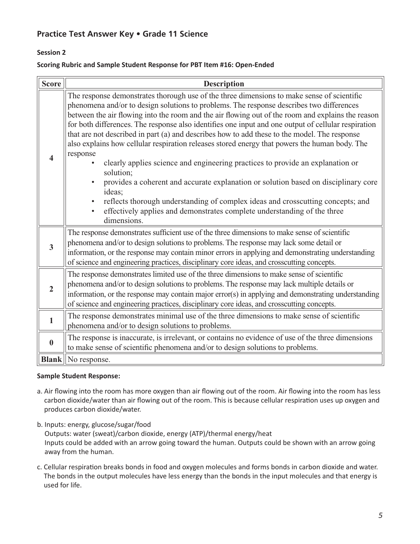## **Session 2**

#### **Scoring Rubric and Sample Student Response for PBT Item #16: Open-Ended**

| <b>Score</b>            | <b>Description</b>                                                                                                                                                                                                                                                                                                                                                                                                                                                                                                                                                                                                                                                                                                                                                                                                                                                                                                                                                                                         |  |  |  |
|-------------------------|------------------------------------------------------------------------------------------------------------------------------------------------------------------------------------------------------------------------------------------------------------------------------------------------------------------------------------------------------------------------------------------------------------------------------------------------------------------------------------------------------------------------------------------------------------------------------------------------------------------------------------------------------------------------------------------------------------------------------------------------------------------------------------------------------------------------------------------------------------------------------------------------------------------------------------------------------------------------------------------------------------|--|--|--|
| $\overline{\mathbf{4}}$ | The response demonstrates thorough use of the three dimensions to make sense of scientific<br>phenomena and/or to design solutions to problems. The response describes two differences<br>between the air flowing into the room and the air flowing out of the room and explains the reason<br>for both differences. The response also identifies one input and one output of cellular respiration<br>that are not described in part (a) and describes how to add these to the model. The response<br>also explains how cellular respiration releases stored energy that powers the human body. The<br>response<br>clearly applies science and engineering practices to provide an explanation or<br>solution;<br>provides a coherent and accurate explanation or solution based on disciplinary core<br>ideas;<br>reflects thorough understanding of complex ideas and crosscutting concepts; and<br>$\bullet$<br>effectively applies and demonstrates complete understanding of the three<br>dimensions. |  |  |  |
| $\overline{\mathbf{3}}$ | The response demonstrates sufficient use of the three dimensions to make sense of scientific<br>phenomena and/or to design solutions to problems. The response may lack some detail or<br>information, or the response may contain minor errors in applying and demonstrating understanding<br>of science and engineering practices, disciplinary core ideas, and crosscutting concepts.                                                                                                                                                                                                                                                                                                                                                                                                                                                                                                                                                                                                                   |  |  |  |
| $\overline{2}$          | The response demonstrates limited use of the three dimensions to make sense of scientific<br>phenomena and/or to design solutions to problems. The response may lack multiple details or<br>information, or the response may contain major error(s) in applying and demonstrating understanding<br>of science and engineering practices, disciplinary core ideas, and crosscutting concepts.                                                                                                                                                                                                                                                                                                                                                                                                                                                                                                                                                                                                               |  |  |  |
| $\mathbf{1}$            | The response demonstrates minimal use of the three dimensions to make sense of scientific<br>phenomena and/or to design solutions to problems.                                                                                                                                                                                                                                                                                                                                                                                                                                                                                                                                                                                                                                                                                                                                                                                                                                                             |  |  |  |
| $\bf{0}$                | The response is inaccurate, is irrelevant, or contains no evidence of use of the three dimensions<br>to make sense of scientific phenomena and/or to design solutions to problems.                                                                                                                                                                                                                                                                                                                                                                                                                                                                                                                                                                                                                                                                                                                                                                                                                         |  |  |  |
|                         | <b>Blank</b> No response.                                                                                                                                                                                                                                                                                                                                                                                                                                                                                                                                                                                                                                                                                                                                                                                                                                                                                                                                                                                  |  |  |  |

#### **Sample Student Response:**

- a. Air flowing into the room has more oxygen than air flowing out of the room. Air flowing into the room has less carbon dioxide/water than air flowing out of the room. This is because cellular respiration uses up oxygen and produces carbon dioxide/water.
- b. Inputs: energy, glucose/sugar/food

Outputs: water (sweat)/carbon dioxide, energy (ATP)/thermal energy/heat Inputs could be added with an arrow going toward the human. Outputs could be shown with an arrow going away from the human.

c. Cellular respiration breaks bonds in food and oxygen molecules and forms bonds in carbon dioxide and water. The bonds in the output molecules have less energy than the bonds in the input molecules and that energy is used for life.